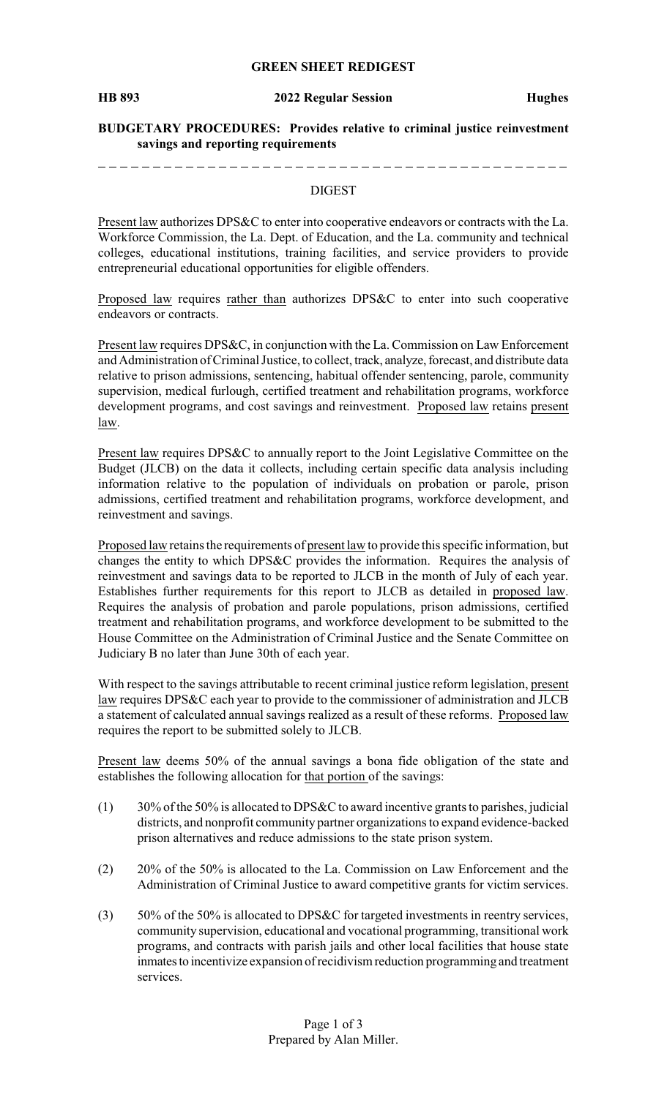### **GREEN SHEET REDIGEST**

## **BUDGETARY PROCEDURES: Provides relative to criminal justice reinvestment savings and reporting requirements**

\_\_\_\_\_\_\_\_\_\_\_\_\_\_. \_\_\_\_\_\_\_\_\_\_\_\_\_\_\_\_\_\_\_\_

#### DIGEST

Present law authorizes DPS&C to enter into cooperative endeavors or contracts with the La. Workforce Commission, the La. Dept. of Education, and the La. community and technical colleges, educational institutions, training facilities, and service providers to provide entrepreneurial educational opportunities for eligible offenders.

Proposed law requires rather than authorizes DPS&C to enter into such cooperative endeavors or contracts.

Present law requires DPS&C, in conjunction with the La. Commission on Law Enforcement and Administration of Criminal Justice, to collect, track, analyze, forecast, and distribute data relative to prison admissions, sentencing, habitual offender sentencing, parole, community supervision, medical furlough, certified treatment and rehabilitation programs, workforce development programs, and cost savings and reinvestment. Proposed law retains present law.

Present law requires DPS&C to annually report to the Joint Legislative Committee on the Budget (JLCB) on the data it collects, including certain specific data analysis including information relative to the population of individuals on probation or parole, prison admissions, certified treatment and rehabilitation programs, workforce development, and reinvestment and savings.

Proposed law retains the requirements of present law to provide this specific information, but changes the entity to which DPS&C provides the information. Requires the analysis of reinvestment and savings data to be reported to JLCB in the month of July of each year. Establishes further requirements for this report to JLCB as detailed in proposed law. Requires the analysis of probation and parole populations, prison admissions, certified treatment and rehabilitation programs, and workforce development to be submitted to the House Committee on the Administration of Criminal Justice and the Senate Committee on Judiciary B no later than June 30th of each year.

With respect to the savings attributable to recent criminal justice reform legislation, present law requires DPS&C each year to provide to the commissioner of administration and JLCB a statement of calculated annual savings realized as a result of these reforms. Proposed law requires the report to be submitted solely to JLCB.

Present law deems 50% of the annual savings a bona fide obligation of the state and establishes the following allocation for that portion of the savings:

- $(1)$  30% of the 50% is allocated to DPS&C to award incentive grants to parishes, judicial districts, and nonprofit community partner organizations to expand evidence-backed prison alternatives and reduce admissions to the state prison system.
- (2) 20% of the 50% is allocated to the La. Commission on Law Enforcement and the Administration of Criminal Justice to award competitive grants for victim services.
- (3) 50% of the 50% is allocated to DPS&C for targeted investments in reentry services, community supervision, educational and vocational programming, transitional work programs, and contracts with parish jails and other local facilities that house state inmatesto incentivize expansion of recidivism reduction programming and treatment services.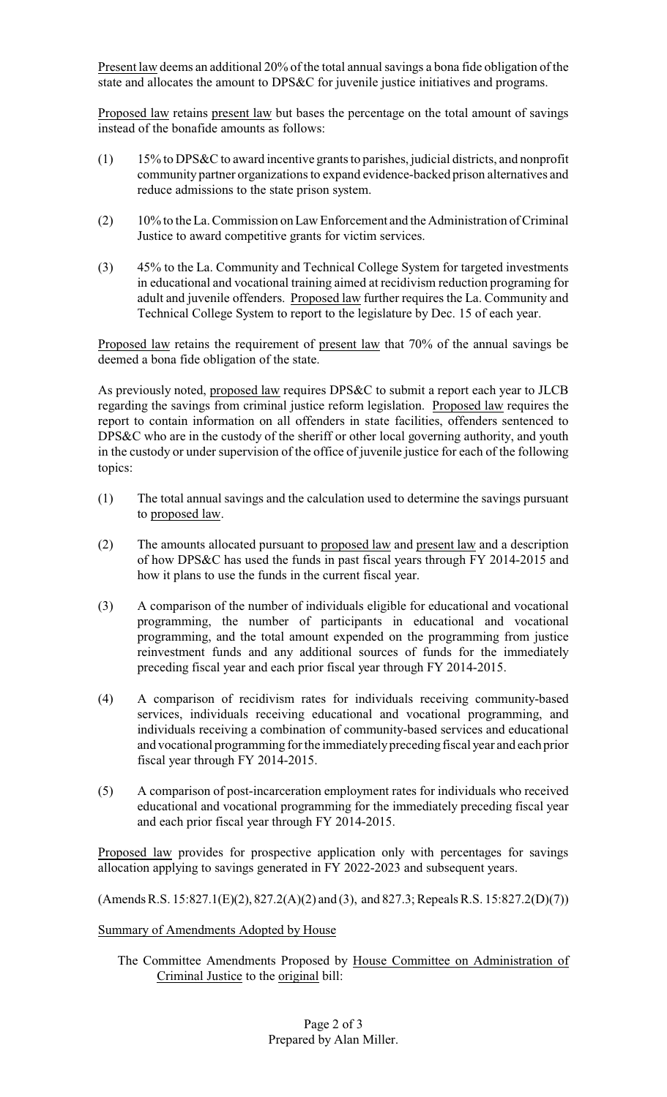Present law deems an additional 20% of the total annual savings a bona fide obligation of the state and allocates the amount to DPS&C for juvenile justice initiatives and programs.

Proposed law retains present law but bases the percentage on the total amount of savings instead of the bonafide amounts as follows:

- (1) 15% to DPS&C to award incentive grants to parishes, judicial districts, and nonprofit community partner organizations to expand evidence-backed prison alternatives and reduce admissions to the state prison system.
- (2) 10% to the La. Commission on Law Enforcement and the Administration of Criminal Justice to award competitive grants for victim services.
- (3) 45% to the La. Community and Technical College System for targeted investments in educational and vocational training aimed at recidivism reduction programing for adult and juvenile offenders. Proposed law further requires the La. Community and Technical College System to report to the legislature by Dec. 15 of each year.

Proposed law retains the requirement of present law that 70% of the annual savings be deemed a bona fide obligation of the state.

As previously noted, proposed law requires DPS&C to submit a report each year to JLCB regarding the savings from criminal justice reform legislation. Proposed law requires the report to contain information on all offenders in state facilities, offenders sentenced to DPS&C who are in the custody of the sheriff or other local governing authority, and youth in the custody or under supervision of the office of juvenile justice for each of the following topics:

- (1) The total annual savings and the calculation used to determine the savings pursuant to proposed law.
- (2) The amounts allocated pursuant to proposed law and present law and a description of how DPS&C has used the funds in past fiscal years through FY 2014-2015 and how it plans to use the funds in the current fiscal year.
- (3) A comparison of the number of individuals eligible for educational and vocational programming, the number of participants in educational and vocational programming, and the total amount expended on the programming from justice reinvestment funds and any additional sources of funds for the immediately preceding fiscal year and each prior fiscal year through FY 2014-2015.
- (4) A comparison of recidivism rates for individuals receiving community-based services, individuals receiving educational and vocational programming, and individuals receiving a combination of community-based services and educational and vocational programming for the immediatelypreceding fiscal year and each prior fiscal year through FY 2014-2015.
- (5) A comparison of post-incarceration employment rates for individuals who received educational and vocational programming for the immediately preceding fiscal year and each prior fiscal year through FY 2014-2015.

Proposed law provides for prospective application only with percentages for savings allocation applying to savings generated in FY 2022-2023 and subsequent years.

(Amends R.S. 15:827.1(E)(2), 827.2(A)(2) and (3), and 827.3; Repeals R.S. 15:827.2(D)(7))

## Summary of Amendments Adopted by House

The Committee Amendments Proposed by House Committee on Administration of Criminal Justice to the original bill: